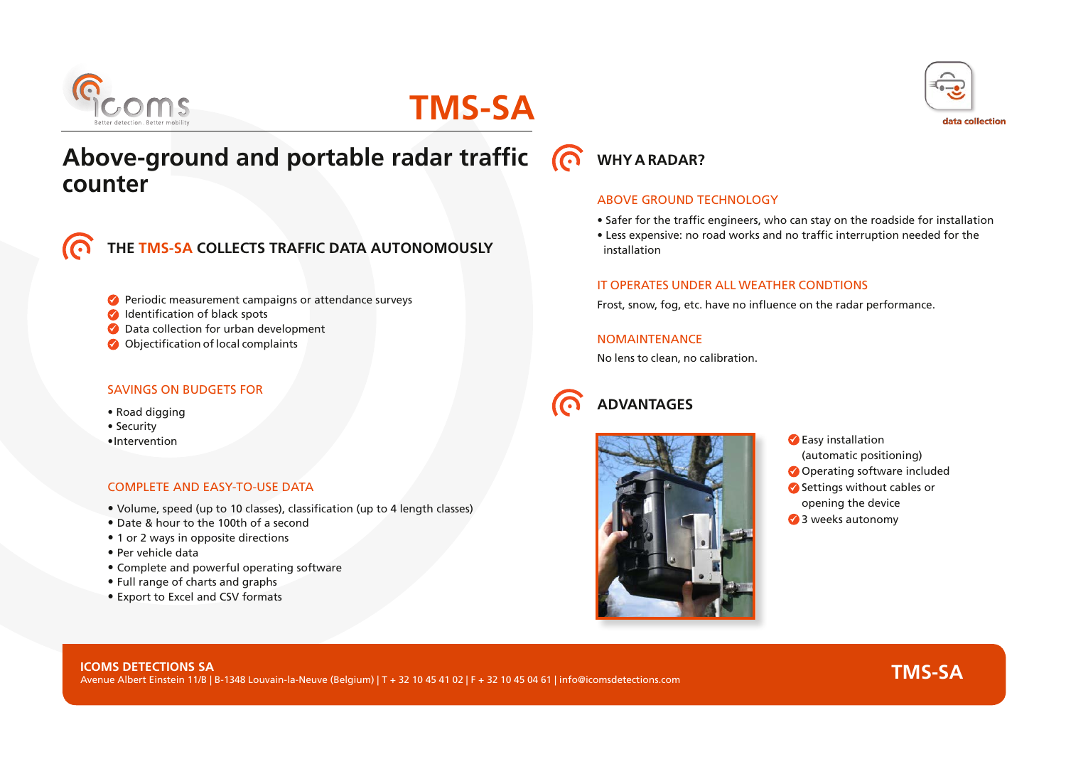

# **TMS-SA**

# **Above-ground and portable radar traffic (O WHY ARADAR? counter E-GITOUNG AND POTTADIE FAGAT TRATTIC**<br>
CONFINITY A RADAR?<br>
CONFINITY AND ARADAR?<br>
CONFINITY AND ARABOVE GROUND T<br>
Case expensive: no<br>
IT OPERATES UNDE<br>
Periodic measurement campaigns or attendance surveys<br>
Periodic measur



**THE TMS-SA COLLECTS TRAFFIC DATA AUTONOMOUSLY**

- Periodic measurement campaigns or attendance surveys
- **IDENTIFICATION OF BLACK SPOTS**
- **Data collection for urban development**
- 

### SAVINGS ON BUDGETS FOR

- Road digging
- Security
- Intervention

### COMPLETE AND EASY-TO-USE DATA

- Volume, speed (up to 10 classes), classification (up to 4 length classes)
- Date & hour to the 100th of a second
- 1 or 2 ways in opposite directions
- Per vehicle data
- Complete and powerful operating software
- Full range of charts and graphs
- Export to Excel and CSV formats



#### ABOVE GROUND TECHNOLOGY

- Safer for the traffic engineers, who can stay on the roadside for installation
- Less expensive: no road works and no traffic interruption needed for the installation

### IT OPERATES UNDER ALL WEATHER CONDTIONS

Frost, snow, fog, etc. have no influence on the radar performance.

**NOMAINTENANCE** 

No lens to clean, no calibration.

### **ADVANTAGES**



- **C** Easy installation (automatic positioning) Operating software included
- Settings without cables or opening the device
- 3 weeks autonomy